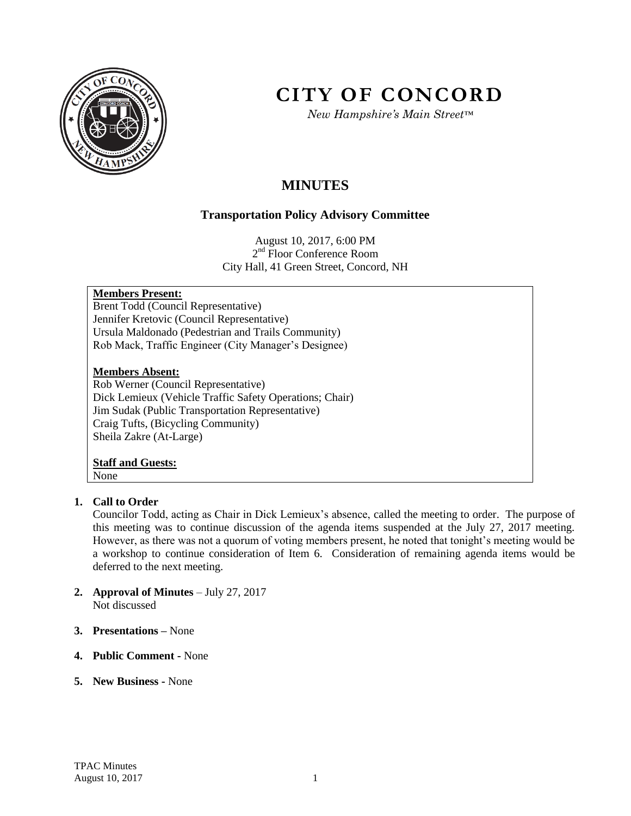

# **CITY OF CONCORD**

*New Hampshire's Main Street™*

# **MINUTES**

# **Transportation Policy Advisory Committee**

August 10, 2017, 6:00 PM 2<sup>nd</sup> Floor Conference Room City Hall, 41 Green Street, Concord, NH

# **Members Present:**

Brent Todd (Council Representative) Jennifer Kretovic (Council Representative) Ursula Maldonado (Pedestrian and Trails Community) Rob Mack, Traffic Engineer (City Manager's Designee)

#### **Members Absent:**

Rob Werner (Council Representative) Dick Lemieux (Vehicle Traffic Safety Operations; Chair) Jim Sudak (Public Transportation Representative) Craig Tufts, (Bicycling Community) Sheila Zakre (At-Large)

#### **Staff and Guests:** None

# **1. Call to Order**

Councilor Todd, acting as Chair in Dick Lemieux's absence, called the meeting to order. The purpose of this meeting was to continue discussion of the agenda items suspended at the July 27, 2017 meeting. However, as there was not a quorum of voting members present, he noted that tonight's meeting would be a workshop to continue consideration of Item 6. Consideration of remaining agenda items would be deferred to the next meeting.

- **2. Approval of Minutes** July 27, 2017 Not discussed
- **3. Presentations –** None
- **4. Public Comment -** None
- **5. New Business -** None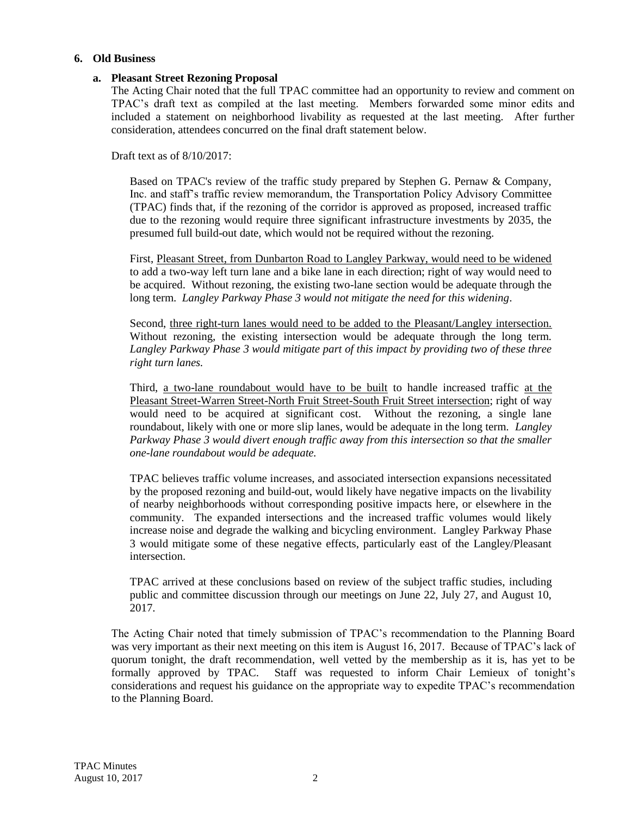#### **6. Old Business**

#### **a. Pleasant Street Rezoning Proposal**

The Acting Chair noted that the full TPAC committee had an opportunity to review and comment on TPAC's draft text as compiled at the last meeting. Members forwarded some minor edits and included a statement on neighborhood livability as requested at the last meeting. After further consideration, attendees concurred on the final draft statement below.

Draft text as of  $8/10/2017$ .

Based on TPAC's review of the traffic study prepared by Stephen G. Pernaw & Company, Inc. and staff's traffic review memorandum, the Transportation Policy Advisory Committee (TPAC) finds that, if the rezoning of the corridor is approved as proposed, increased traffic due to the rezoning would require three significant infrastructure investments by 2035, the presumed full build-out date, which would not be required without the rezoning.

First, Pleasant Street, from Dunbarton Road to Langley Parkway, would need to be widened to add a two-way left turn lane and a bike lane in each direction; right of way would need to be acquired. Without rezoning, the existing two-lane section would be adequate through the long term. *Langley Parkway Phase 3 would not mitigate the need for this widening*.

Second, three right-turn lanes would need to be added to the Pleasant/Langley intersection. Without rezoning, the existing intersection would be adequate through the long term. *Langley Parkway Phase 3 would mitigate part of this impact by providing two of these three right turn lanes.*

Third, a two-lane roundabout would have to be built to handle increased traffic at the Pleasant Street-Warren Street-North Fruit Street-South Fruit Street intersection; right of way would need to be acquired at significant cost. Without the rezoning, a single lane roundabout, likely with one or more slip lanes, would be adequate in the long term. *Langley Parkway Phase 3 would divert enough traffic away from this intersection so that the smaller one-lane roundabout would be adequate.*

TPAC believes traffic volume increases, and associated intersection expansions necessitated by the proposed rezoning and build-out, would likely have negative impacts on the livability of nearby neighborhoods without corresponding positive impacts here, or elsewhere in the community. The expanded intersections and the increased traffic volumes would likely increase noise and degrade the walking and bicycling environment. Langley Parkway Phase 3 would mitigate some of these negative effects, particularly east of the Langley/Pleasant intersection.

TPAC arrived at these conclusions based on review of the subject traffic studies, including public and committee discussion through our meetings on June 22, July 27, and August 10, 2017.

The Acting Chair noted that timely submission of TPAC's recommendation to the Planning Board was very important as their next meeting on this item is August 16, 2017. Because of TPAC's lack of quorum tonight, the draft recommendation, well vetted by the membership as it is, has yet to be formally approved by TPAC. Staff was requested to inform Chair Lemieux of tonight's considerations and request his guidance on the appropriate way to expedite TPAC's recommendation to the Planning Board.